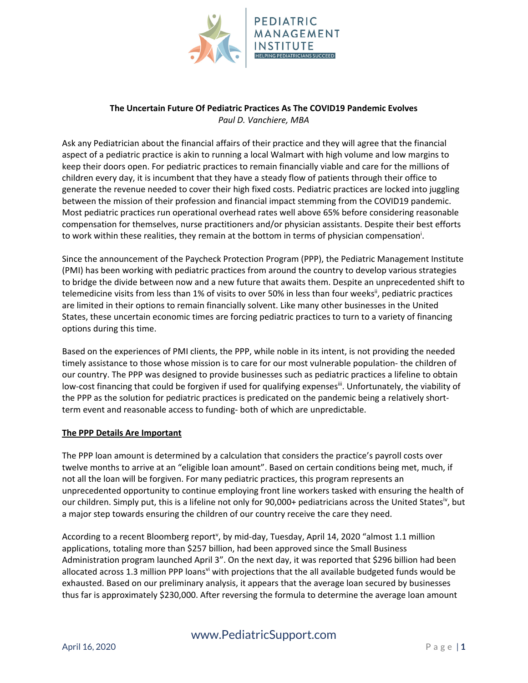

## **The Uncertain Future Of Pediatric Practices As The COVID19 Pandemic Evolves** *Paul D. Vanchiere, MBA*

Ask any Pediatrician about the financial affairs of their practice and they will agree that the financial aspect of a pediatric practice is akin to running a local Walmart with high volume and low margins to keep their doors open. For pediatric practices to remain financially viable and care for the millions of children every day, it is incumbent that they have a steady flow of patients through their office to generate the revenue needed to cover their high fixed costs. Pediatric practices are locked into juggling between the mission of their profession and financial impact stemming from the COVID19 pandemic. Most pediatric practices run operational overhead rates well above 65% before considering reasonable compensation for themselves, nurse practitioners and/or physician assistants. Despite their best efforts to work within these realities, they remain at the bottom in terms of physician compensation<sup>i</sup>.

Since the announcement of the Paycheck Protection Program (PPP), the Pediatric Management Institute (PMI) has been working with pediatric practices from around the country to develop various strategies to bridge the divide between now and a new future that awaits them. Despite an unprecedented shift to telemedicine visits from less than 1% of visits to over 50% in less than four weeks<sup>ii</sup>, pediatric practices are limited in their options to remain financially solvent. Like many other businesses in the United States, these uncertain economic times are forcing pediatric practices to turn to a variety of financing options during this time.

Based on the experiences of PMI clients, the PPP, while noble in its intent, is not providing the needed timely assistance to those whose mission is to care for our most vulnerable population- the children of our country. The PPP was designed to provide businesses such as pediatric practices a lifeline to obtain low-cost financing that could be forgiven if used for qualifying expenses<sup>ii</sup>. Unfortunately, the viability of the PPP as the solution for pediatric practices is predicated on the pandemic being a relatively short‐ term event and reasonable access to funding‐ both of which are unpredictable.

## **The PPP Details Are Important**

The PPP loan amount is determined by a calculation that considers the practice's payroll costs over twelve months to arrive at an "eligible loan amount". Based on certain conditions being met, much, if not all the loan will be forgiven. For many pediatric practices, this program represents an unprecedented opportunity to continue employing front line workers tasked with ensuring the health of our children. Simply put, this is a lifeline not only for 90,000+ pediatricians across the United States<sup>iv</sup>, but a major step towards ensuring the children of our country receive the care they need.

According to a recent Bloomberg report<sup>v</sup>, by mid-day, Tuesday, April 14, 2020 "almost 1.1 million applications, totaling more than \$257 billion, had been approved since the Small Business Administration program launched April 3". On the next day, it was reported that \$296 billion had been allocated across 1.3 million PPP loansvi with projections that the all available budgeted funds would be exhausted. Based on our preliminary analysis, it appears that the average loan secured by businesses thus far is approximately \$230,000. After reversing the formula to determine the average loan amount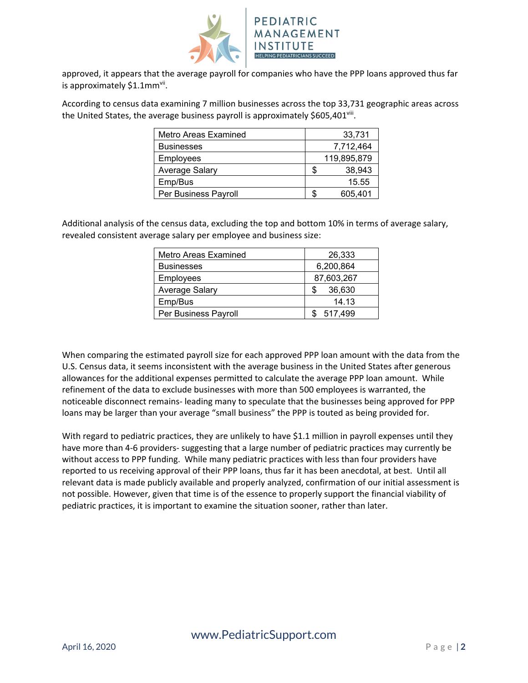

approved, it appears that the average payroll for companies who have the PPP loans approved thus far is approximately \$1.1mm<sup>vii</sup>.

According to census data examining 7 million businesses across the top 33,731 geographic areas across the United States, the average business payroll is approximately \$605,401<sup>viii</sup>.

| Metro Areas Examined | 33,731      |
|----------------------|-------------|
| <b>Businesses</b>    | 7,712,464   |
| <b>Employees</b>     | 119,895,879 |
| Average Salary       | 38,943      |
| Emp/Bus              | 15.55       |
| Per Business Payroll | 605,401     |

Additional analysis of the census data, excluding the top and bottom 10% in terms of average salary, revealed consistent average salary per employee and business size:

| Metro Areas Examined | 26,333      |  |  |  |
|----------------------|-------------|--|--|--|
| <b>Businesses</b>    | 6,200,864   |  |  |  |
| Employees            | 87,603,267  |  |  |  |
| Average Salary       | 36,630<br>S |  |  |  |
| Emp/Bus              | 14.13       |  |  |  |
| Per Business Payroll | 517,499     |  |  |  |

When comparing the estimated payroll size for each approved PPP loan amount with the data from the U.S. Census data, it seems inconsistent with the average business in the United States after generous allowances for the additional expenses permitted to calculate the average PPP loan amount. While refinement of the data to exclude businesses with more than 500 employees is warranted, the noticeable disconnect remains‐ leading many to speculate that the businesses being approved for PPP loans may be larger than your average "small business" the PPP is touted as being provided for.

With regard to pediatric practices, they are unlikely to have \$1.1 million in payroll expenses until they have more than 4-6 providers- suggesting that a large number of pediatric practices may currently be without access to PPP funding. While many pediatric practices with less than four providers have reported to us receiving approval of their PPP loans, thus far it has been anecdotal, at best. Until all relevant data is made publicly available and properly analyzed, confirmation of our initial assessment is not possible. However, given that time is of the essence to properly support the financial viability of pediatric practices, it is important to examine the situation sooner, rather than later.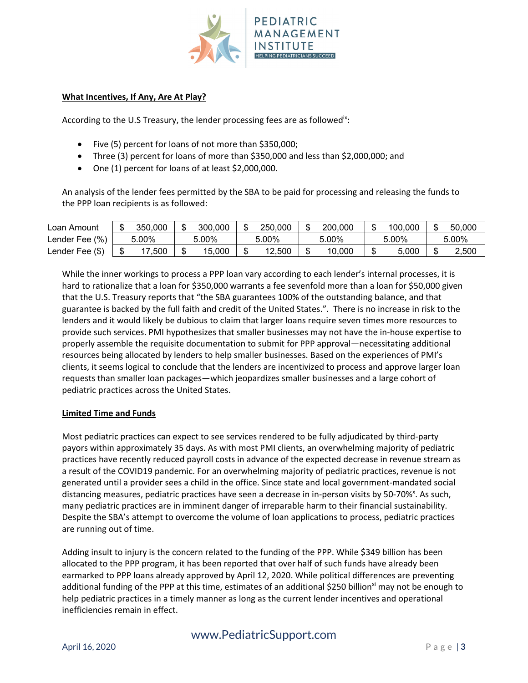

## **What Incentives, If Any, Are At Play?**

According to the U.S Treasury, the lender processing fees are as followed<sup>ix</sup>:

- Five (5) percent for loans of not more than \$350,000;
- Three (3) percent for loans of more than \$350,000 and less than \$2,000,000; and
- One (1) percent for loans of at least \$2,000,000.

An analysis of the lender fees permitted by the SBA to be paid for processing and releasing the funds to the PPP loan recipients is as followed:

| Loan Amount     | 350,000 | 300,000 | 250.000 | 200.000 | 100,000 | Ф | 50,000 |
|-----------------|---------|---------|---------|---------|---------|---|--------|
| Lender Fee (%)  | 5.00%   | 5.00%   | 5.00%   | 5.00%   | 5.00%   |   | 5.00%  |
| Lender Fee (\$) | .500    | 15.000  | 12,500  | 10,000  | 5,000   | Ф | 2.500  |

While the inner workings to process a PPP loan vary according to each lender's internal processes, it is hard to rationalize that a loan for \$350,000 warrants a fee sevenfold more than a loan for \$50,000 given that the U.S. Treasury reports that "the SBA guarantees 100% of the outstanding balance, and that guarantee is backed by the full faith and credit of the United States.". There is no increase in risk to the lenders and it would likely be dubious to claim that larger loans require seven times more resources to provide such services. PMI hypothesizes that smaller businesses may not have the in‐house expertise to properly assemble the requisite documentation to submit for PPP approval—necessitating additional resources being allocated by lenders to help smaller businesses. Based on the experiences of PMI's clients, it seems logical to conclude that the lenders are incentivized to process and approve larger loan requests than smaller loan packages—which jeopardizes smaller businesses and a large cohort of pediatric practices across the United States.

## **Limited Time and Funds**

Most pediatric practices can expect to see services rendered to be fully adjudicated by third-party payors within approximately 35 days. As with most PMI clients, an overwhelming majority of pediatric practices have recently reduced payroll costs in advance of the expected decrease in revenue stream as a result of the COVID19 pandemic. For an overwhelming majority of pediatric practices, revenue is not generated until a provider sees a child in the office. Since state and local government‐mandated social distancing measures, pediatric practices have seen a decrease in in-person visits by 50-70%<sup>x</sup>. As such, many pediatric practices are in imminent danger of irreparable harm to their financial sustainability. Despite the SBA's attempt to overcome the volume of loan applications to process, pediatric practices are running out of time.

Adding insult to injury is the concern related to the funding of the PPP. While \$349 billion has been allocated to the PPP program, it has been reported that over half of such funds have already been earmarked to PPP loans already approved by April 12, 2020. While political differences are preventing additional funding of the PPP at this time, estimates of an additional \$250 billion<sup>xi</sup> may not be enough to help pediatric practices in a timely manner as long as the current lender incentives and operational inefficiencies remain in effect.

# www.PediatricSupport.com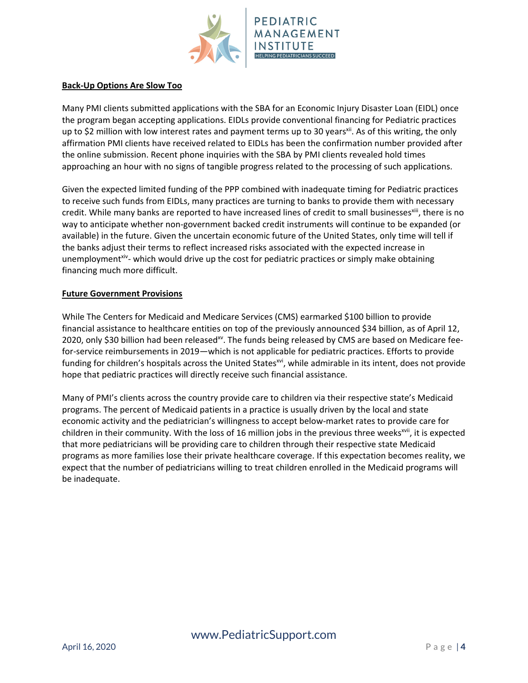

### **Back‐Up Options Are Slow Too**

Many PMI clients submitted applications with the SBA for an Economic Injury Disaster Loan (EIDL) once the program began accepting applications. EIDLs provide conventional financing for Pediatric practices up to \$2 million with low interest rates and payment terms up to 30 years<sup>xii</sup>. As of this writing, the only affirmation PMI clients have received related to EIDLs has been the confirmation number provided after the online submission. Recent phone inquiries with the SBA by PMI clients revealed hold times approaching an hour with no signs of tangible progress related to the processing of such applications.

Given the expected limited funding of the PPP combined with inadequate timing for Pediatric practices to receive such funds from EIDLs, many practices are turning to banks to provide them with necessary credit. While many banks are reported to have increased lines of credit to small businesses<sup>xiii</sup>, there is no way to anticipate whether non‐government backed credit instruments will continue to be expanded (or available) in the future. Given the uncertain economic future of the United States, only time will tell if the banks adjust their terms to reflect increased risks associated with the expected increase in unemployment<sup>xiv</sup>- which would drive up the cost for pediatric practices or simply make obtaining financing much more difficult.

#### **Future Government Provisions**

While The Centers for Medicaid and Medicare Services (CMS) earmarked \$100 billion to provide financial assistance to healthcare entities on top of the previously announced \$34 billion, as of April 12, 2020, only \$30 billion had been released<sup>xy</sup>. The funds being released by CMS are based on Medicare feefor-service reimbursements in 2019—which is not applicable for pediatric practices. Efforts to provide funding for children's hospitals across the United States<sup>xvi</sup>, while admirable in its intent, does not provide hope that pediatric practices will directly receive such financial assistance.

Many of PMI's clients across the country provide care to children via their respective state's Medicaid programs. The percent of Medicaid patients in a practice is usually driven by the local and state economic activity and the pediatrician's willingness to accept below‐market rates to provide care for children in their community. With the loss of 16 million jobs in the previous three weeks<sup>xvii</sup>, it is expected that more pediatricians will be providing care to children through their respective state Medicaid programs as more families lose their private healthcare coverage. If this expectation becomes reality, we expect that the number of pediatricians willing to treat children enrolled in the Medicaid programs will be inadequate.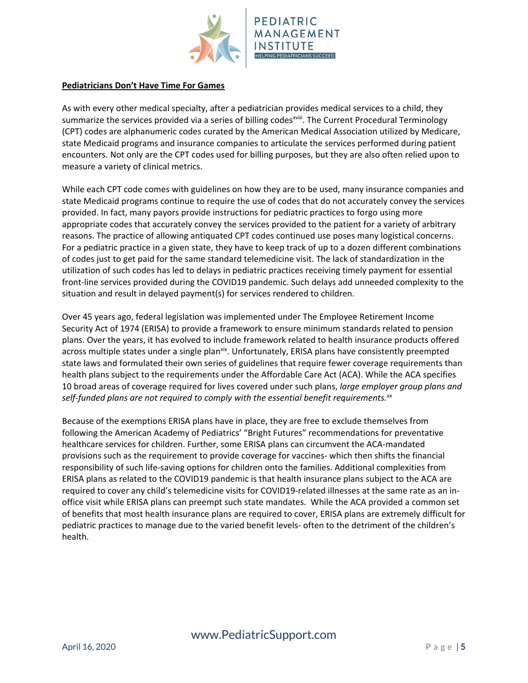

#### **Pediatricians Don't Have Time For Games**

As with every other medical specialty, after a pediatrician provides medical services to a child, they summarize the services provided via a series of billing codes<sup>xviii</sup>. The Current Procedural Terminology (CPT) codes are alphanumeric codes curated by the American Medical Association utilized by Medicare, state Medicaid programs and insurance companies to articulate the services performed during patient encounters. Not only are the CPT codes used for billing purposes, but they are also often relied upon to measure a variety of clinical metrics.

While each CPT code comes with guidelines on how they are to be used, many insurance companies and state Medicaid programs continue to require the use of codes that do not accurately convey the services provided. In fact, many payors provide instructions for pediatric practices to forgo using more appropriate codes that accurately convey the services provided to the patient for a variety of arbitrary reasons. The practice of allowing antiquated CPT codes continued use poses many logistical concerns. For a pediatric practice in a given state, they have to keep track of up to a dozen different combinations of codes just to get paid for the same standard telemedicine visit. The lack of standardization in the utilization of such codes has led to delays in pediatric practices receiving timely payment for essential front‐line services provided during the COVID19 pandemic. Such delays add unneeded complexity to the situation and result in delayed payment(s) for services rendered to children.

Over 45 years ago, federal legislation was implemented under The Employee Retirement Income Security Act of 1974 (ERISA) to provide a framework to ensure minimum standards related to pension plans. Over the years, it has evolved to include framework related to health insurance products offered across multiple states under a single plan<sup>xix</sup>. Unfortunately, ERISA plans have consistently preempted state laws and formulated their own series of guidelines that require fewer coverage requirements than health plans subject to the requirements under the Affordable Care Act (ACA). While the ACA specifies 10 broad areas of coverage required for lives covered under such plans, *large employer group plans and self‐funded plans are not required to comply with the essential benefit requirements.xx*

Because of the exemptions ERISA plans have in place, they are free to exclude themselves from following the American Academy of Pediatrics' "Bright Futures" recommendations for preventative healthcare services for children. Further, some ERISA plans can circumvent the ACA‐mandated provisions such as the requirement to provide coverage for vaccines‐ which then shifts the financial responsibility of such life‐saving options for children onto the families. Additional complexities from ERISA plans as related to the COVID19 pandemic is that health insurance plans subject to the ACA are required to cover any child's telemedicine visits for COVID19‐related illnesses at the same rate as an in‐ office visit while ERISA plans can preempt such state mandates. While the ACA provided a common set of benefits that most health insurance plans are required to cover, ERISA plans are extremely difficult for pediatric practices to manage due to the varied benefit levels‐ often to the detriment of the children's health.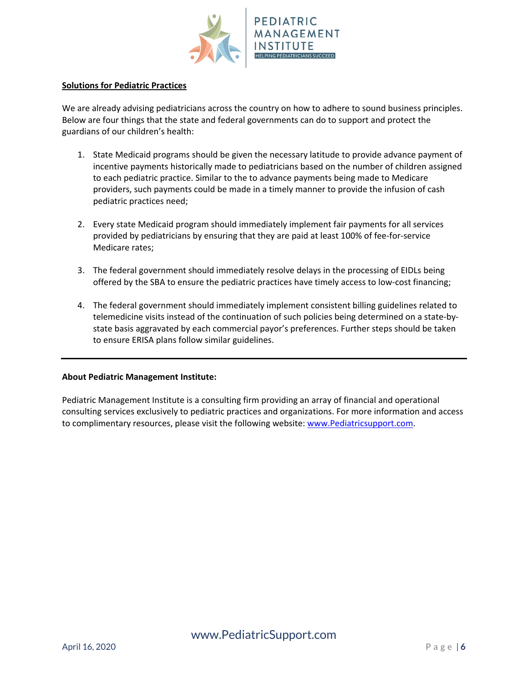

#### **Solutions for Pediatric Practices**

We are already advising pediatricians across the country on how to adhere to sound business principles. Below are four things that the state and federal governments can do to support and protect the guardians of our children's health:

- 1. State Medicaid programs should be given the necessary latitude to provide advance payment of incentive payments historically made to pediatricians based on the number of children assigned to each pediatric practice. Similar to the to advance payments being made to Medicare providers, such payments could be made in a timely manner to provide the infusion of cash pediatric practices need;
- 2. Every state Medicaid program should immediately implement fair payments for all services provided by pediatricians by ensuring that they are paid at least 100% of fee‐for‐service Medicare rates;
- 3. The federal government should immediately resolve delays in the processing of EIDLs being offered by the SBA to ensure the pediatric practices have timely access to low‐cost financing;
- 4. The federal government should immediately implement consistent billing guidelines related to telemedicine visits instead of the continuation of such policies being determined on a state-bystate basis aggravated by each commercial payor's preferences. Further steps should be taken to ensure ERISA plans follow similar guidelines.

#### **About Pediatric Management Institute:**

Pediatric Management Institute is a consulting firm providing an array of financial and operational consulting services exclusively to pediatric practices and organizations. For more information and access to complimentary resources, please visit the following website: www.Pediatricsupport.com.